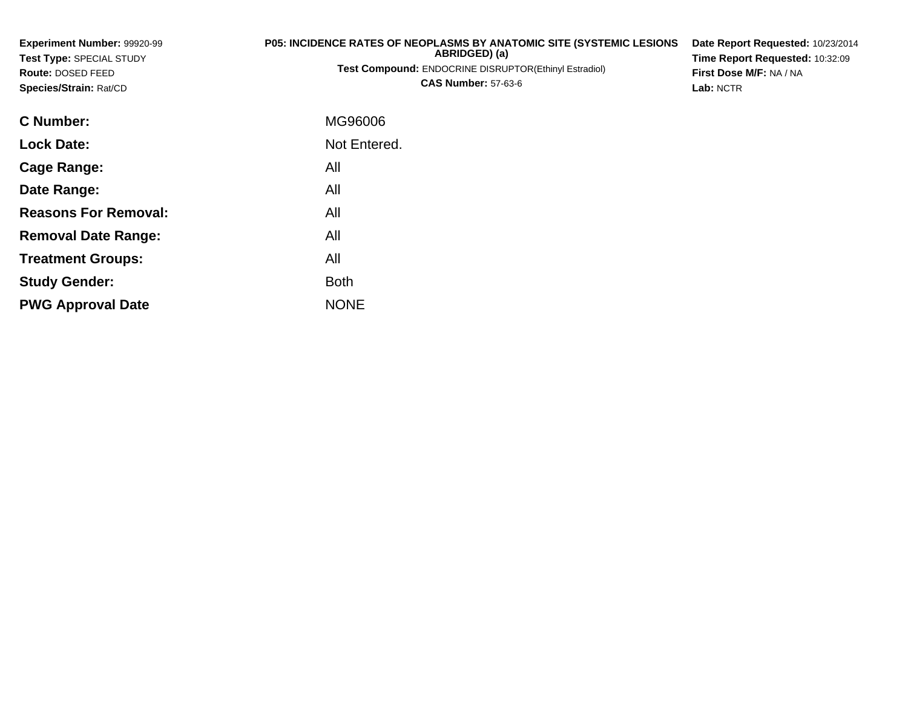| Experiment Number: 99920-99<br>Test Type: SPECIAL STUDY<br>Route: DOSED FEED<br>Species/Strain: Rat/CD | <b>P05: INCIDENCE RATES OF NEOPLASMS BY ANATOMIC SITE (SYSTEMIC LESIONS)</b><br>ABRIDGED) (a)<br><b>Test Compound: ENDOCRINE DISRUPTOR(Ethinyl Estradiol)</b><br><b>CAS Number: 57-63-6</b> | Date Report Requested: 10/23/2014<br>Time Report Requested: 10:32:09<br>First Dose M/F: NA / NA<br>Lab: NCTR |  |  |  |
|--------------------------------------------------------------------------------------------------------|---------------------------------------------------------------------------------------------------------------------------------------------------------------------------------------------|--------------------------------------------------------------------------------------------------------------|--|--|--|
| C Number:                                                                                              | MG96006                                                                                                                                                                                     |                                                                                                              |  |  |  |
| <b>Lock Date:</b>                                                                                      | Not Entered.                                                                                                                                                                                |                                                                                                              |  |  |  |
| <b>Cage Range:</b>                                                                                     | All                                                                                                                                                                                         |                                                                                                              |  |  |  |
| Date Range:                                                                                            | All                                                                                                                                                                                         |                                                                                                              |  |  |  |
| <b>Reasons For Removal:</b>                                                                            | All                                                                                                                                                                                         |                                                                                                              |  |  |  |
| <b>Removal Date Range:</b>                                                                             | All                                                                                                                                                                                         |                                                                                                              |  |  |  |

**Treatment Groups:**

**PWG Approval Date**

**Study Gender:**

All

e NONE

Both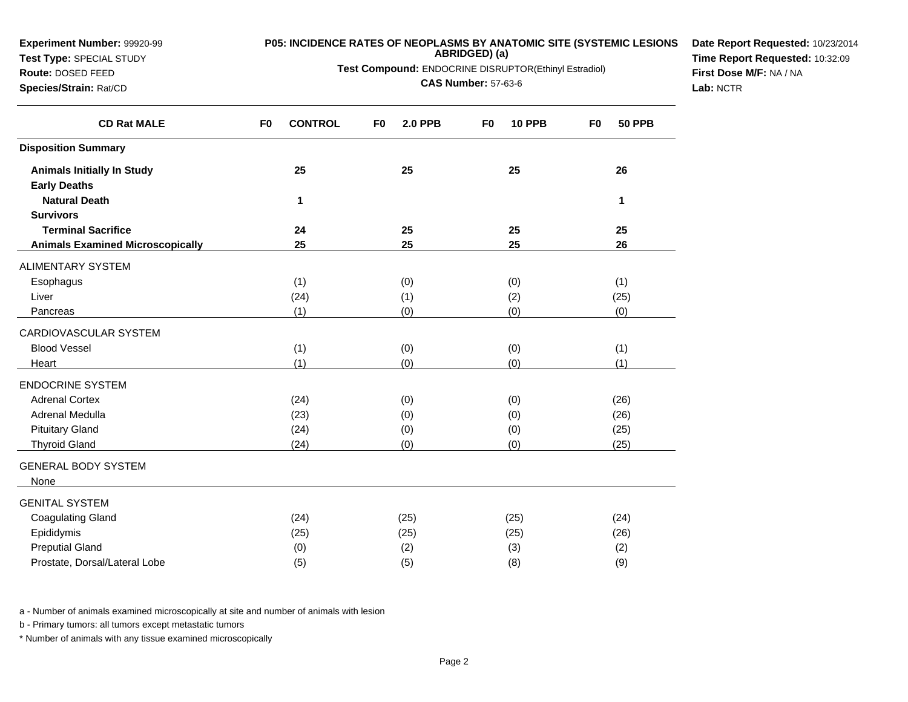| <b>Experiment Number: 99920-99</b><br>Test Type: SPECIAL STUDY<br>Route: DOSED FEED<br>Species/Strain: Rat/CD |                | P05: INCIDENCE RATES OF NEOPLASMS BY ANATOMIC SITE (SYSTEMIC LESIONS<br>Test Compound: ENDOCRINE DISRUPTOR(Ethinyl Estradiol) | Date Report Requested: 10/23/2014<br>Time Report Requested: 10:32:09<br>First Dose M/F: NA / NA<br>Lab: NCTR |                |                |               |                |               |  |
|---------------------------------------------------------------------------------------------------------------|----------------|-------------------------------------------------------------------------------------------------------------------------------|--------------------------------------------------------------------------------------------------------------|----------------|----------------|---------------|----------------|---------------|--|
| <b>CD Rat MALE</b>                                                                                            | F <sub>0</sub> | <b>CONTROL</b>                                                                                                                | F <sub>0</sub>                                                                                               | <b>2.0 PPB</b> | F <sub>0</sub> | <b>10 PPB</b> | F <sub>0</sub> | <b>50 PPB</b> |  |
| <b>Disposition Summary</b>                                                                                    |                |                                                                                                                               |                                                                                                              |                |                |               |                |               |  |
| <b>Animals Initially In Study</b><br><b>Early Deaths</b>                                                      |                | 25                                                                                                                            |                                                                                                              | 25             |                | 25            |                | 26            |  |
| <b>Natural Death</b><br><b>Survivors</b>                                                                      |                | 1                                                                                                                             |                                                                                                              |                |                |               |                | $\mathbf{1}$  |  |
| <b>Terminal Sacrifice</b><br><b>Animals Examined Microscopically</b>                                          |                | 24<br>25                                                                                                                      |                                                                                                              | 25<br>25       |                | 25<br>25      |                | 25<br>26      |  |
| ALIMENTARY SYSTEM                                                                                             |                |                                                                                                                               |                                                                                                              |                |                |               |                |               |  |
| Esophagus                                                                                                     |                | (1)                                                                                                                           |                                                                                                              | (0)            |                | (0)           |                | (1)           |  |
| Liver                                                                                                         |                | (24)                                                                                                                          |                                                                                                              | (1)            |                | (2)           |                | (25)          |  |
| Pancreas                                                                                                      |                | (1)                                                                                                                           |                                                                                                              | (0)            |                | (0)           |                | (0)           |  |
| CARDIOVASCULAR SYSTEM                                                                                         |                |                                                                                                                               |                                                                                                              |                |                |               |                |               |  |
| <b>Blood Vessel</b>                                                                                           |                | (1)                                                                                                                           |                                                                                                              | (0)            |                | (0)           |                | (1)           |  |
| Heart                                                                                                         |                | (1)                                                                                                                           |                                                                                                              | (0)            |                | (0)           |                | (1)           |  |
| <b>ENDOCRINE SYSTEM</b>                                                                                       |                |                                                                                                                               |                                                                                                              |                |                |               |                |               |  |
| <b>Adrenal Cortex</b>                                                                                         |                | (24)                                                                                                                          |                                                                                                              | (0)            |                | (0)           |                | (26)          |  |
| Adrenal Medulla                                                                                               |                | (23)                                                                                                                          |                                                                                                              | (0)            |                | (0)           |                | (26)          |  |
| <b>Pituitary Gland</b>                                                                                        |                | (24)                                                                                                                          |                                                                                                              | (0)            |                | (0)           |                | (25)          |  |
| <b>Thyroid Gland</b>                                                                                          |                | (24)                                                                                                                          |                                                                                                              | (0)            |                | (0)           |                | (25)          |  |
| <b>GENERAL BODY SYSTEM</b><br>None                                                                            |                |                                                                                                                               |                                                                                                              |                |                |               |                |               |  |
| <b>GENITAL SYSTEM</b>                                                                                         |                |                                                                                                                               |                                                                                                              |                |                |               |                |               |  |
| <b>Coagulating Gland</b>                                                                                      |                | (24)                                                                                                                          |                                                                                                              | (25)           |                | (25)          |                | (24)          |  |
| Epididymis                                                                                                    |                | (25)                                                                                                                          |                                                                                                              | (25)           |                | (25)          |                | (26)          |  |
| <b>Preputial Gland</b>                                                                                        |                | (0)                                                                                                                           |                                                                                                              | (2)            |                | (3)           |                | (2)           |  |
| Prostate, Dorsal/Lateral Lobe                                                                                 |                | (5)                                                                                                                           |                                                                                                              | (5)            |                | (8)           |                | (9)           |  |

b - Primary tumors: all tumors except metastatic tumors

**Experiment Number:** 99920-99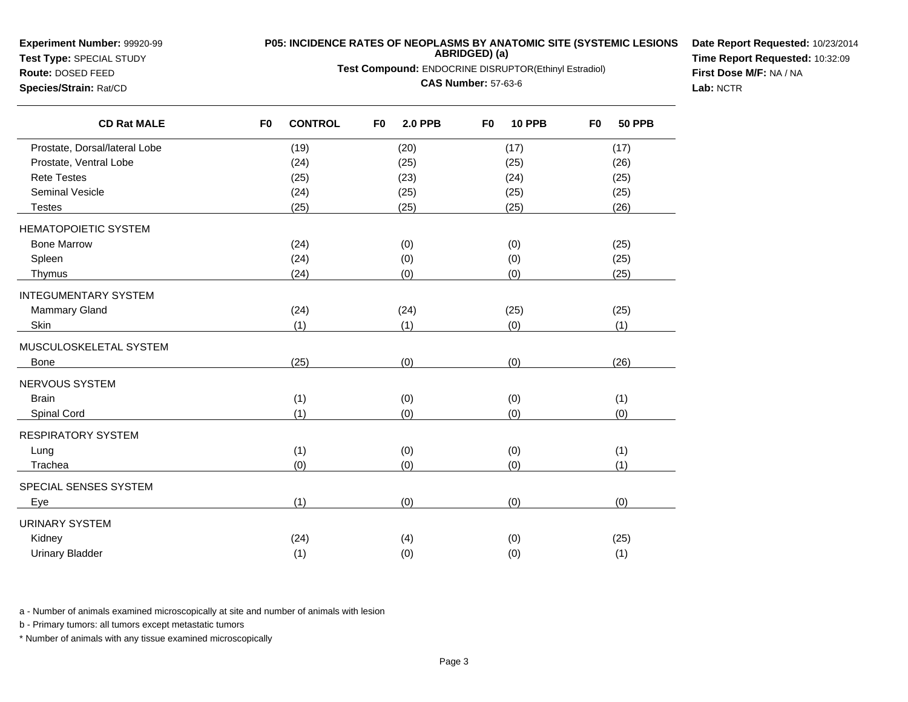**Experiment Number:** 99920-99

## **Test Type:** SPECIAL STUDY

## **Route:** DOSED FEED**Species/Strain:** Rat/CD

 $\overline{\phantom{0}}$ 

**P05: INCIDENCE RATES OF NEOPLASMS BY ANATOMIC SITE (SYSTEMIC LESIONSABRIDGED) (a)**

**Test Compound:** ENDOCRINE DISRUPTOR(Ethinyl Estradiol)

**CAS Number:** 57-63-6

**Date Report Requested:** 10/23/2014**Time Report Requested:** 10:32:09**First Dose M/F:** NA / NA**Lab:** NCTR

| <b>CD Rat MALE</b>            | <b>CONTROL</b><br>F <sub>0</sub> | F <sub>0</sub><br><b>2.0 PPB</b> | F <sub>0</sub><br><b>10 PPB</b> | <b>50 PPB</b><br>F <sub>0</sub> |
|-------------------------------|----------------------------------|----------------------------------|---------------------------------|---------------------------------|
| Prostate, Dorsal/lateral Lobe | (19)                             | (20)                             | (17)                            | (17)                            |
| Prostate, Ventral Lobe        | (24)                             | (25)                             | (25)                            | (26)                            |
| <b>Rete Testes</b>            | (25)                             | (23)                             | (24)                            | (25)                            |
| <b>Seminal Vesicle</b>        | (24)                             | (25)                             | (25)                            | (25)                            |
| <b>Testes</b>                 | (25)                             | (25)                             | (25)                            | (26)                            |
| <b>HEMATOPOIETIC SYSTEM</b>   |                                  |                                  |                                 |                                 |
| <b>Bone Marrow</b>            | (24)                             | (0)                              | (0)                             | (25)                            |
| Spleen                        | (24)                             | (0)                              | (0)                             | (25)                            |
| Thymus                        | (24)                             | (0)                              | (0)                             | (25)                            |
| <b>INTEGUMENTARY SYSTEM</b>   |                                  |                                  |                                 |                                 |
| Mammary Gland                 | (24)                             | (24)                             | (25)                            | (25)                            |
| Skin                          | (1)                              | (1)                              | (0)                             | (1)                             |
| MUSCULOSKELETAL SYSTEM        |                                  |                                  |                                 |                                 |
| <b>Bone</b>                   | (25)                             | (0)                              | (0)                             | (26)                            |
| NERVOUS SYSTEM                |                                  |                                  |                                 |                                 |
| <b>Brain</b>                  | (1)                              | (0)                              | (0)                             | (1)                             |
| Spinal Cord                   | (1)                              | (0)                              | (0)                             | (0)                             |
| RESPIRATORY SYSTEM            |                                  |                                  |                                 |                                 |
| Lung                          | (1)                              | (0)                              | (0)                             | (1)                             |
| Trachea                       | (0)                              | (0)                              | (0)                             | (1)                             |
| SPECIAL SENSES SYSTEM         |                                  |                                  |                                 |                                 |
| Eye                           | (1)                              | (0)                              | (0)                             | (0)                             |
| URINARY SYSTEM                |                                  |                                  |                                 |                                 |
| Kidney                        | (24)                             | (4)                              | (0)                             | (25)                            |
| <b>Urinary Bladder</b>        | (1)                              | (0)                              | (0)                             | (1)                             |

a - Number of animals examined microscopically at site and number of animals with lesion

b - Primary tumors: all tumors except metastatic tumors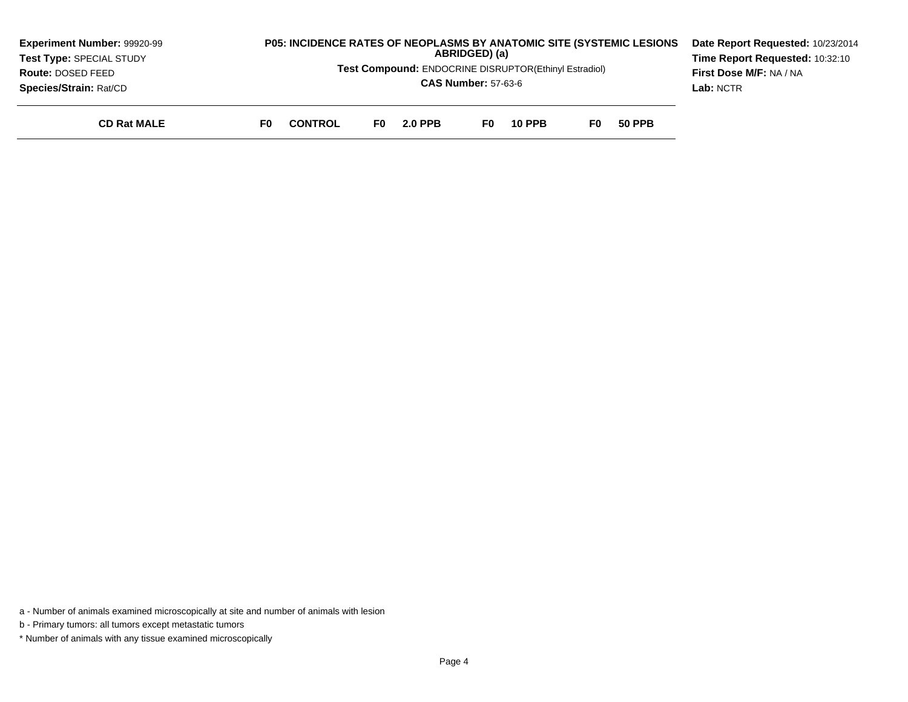| <b>Experiment Number: 99920-99</b> | <b>P05: INCIDENCE RATES OF NEOPLASMS BY ANATOMIC SITE (SYSTEMIC LESIONS)</b> |                       |                |     |               |     |               | Date Report Requested: 10/23/2014 |  |
|------------------------------------|------------------------------------------------------------------------------|-----------------------|----------------|-----|---------------|-----|---------------|-----------------------------------|--|
| Test Type: SPECIAL STUDY           | ABRIDGED) (a)                                                                |                       |                |     |               |     |               | Time Report Requested: 10:32:10   |  |
| <b>Route: DOSED FEED</b>           | Test Compound: ENDOCRINE DISRUPTOR(Ethinyl Estradiol)                        |                       |                |     |               |     |               | <b>First Dose M/F: NA / NA</b>    |  |
| Species/Strain: Rat/CD             | <b>CAS Number: 57-63-6</b>                                                   |                       |                |     |               |     |               | Lab: NCTR                         |  |
| <b>CD Rat MALE</b>                 | F0                                                                           | <b>CONTROL</b><br>F0. | <b>2.0 PPB</b> | F0. | <b>10 PPB</b> | F0. | <b>50 PPB</b> |                                   |  |

b - Primary tumors: all tumors except metastatic tumors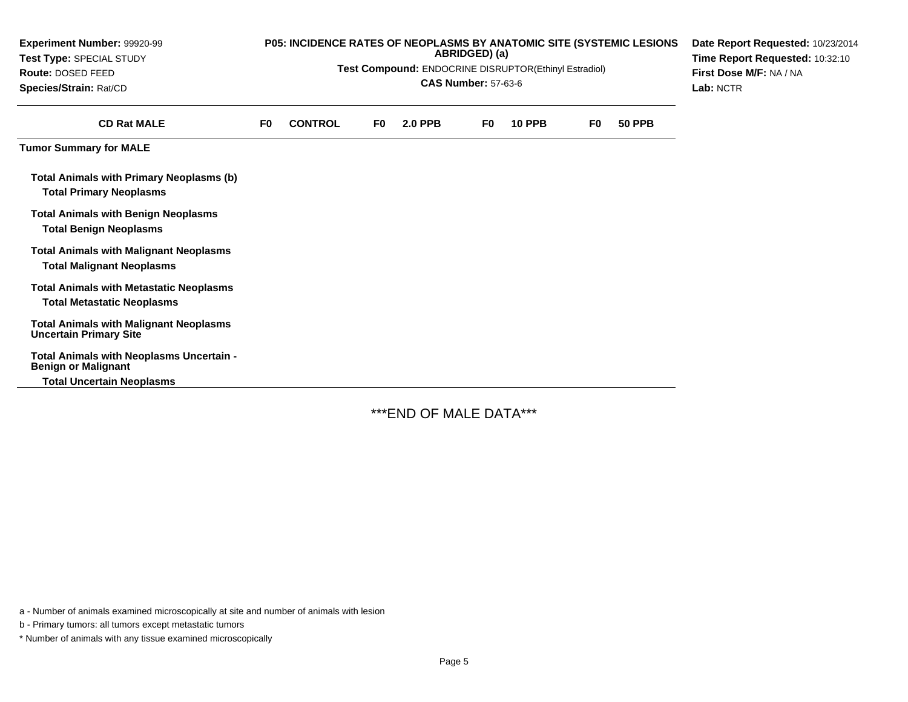| Experiment Number: 99920-99<br><b>Test Type: SPECIAL STUDY</b><br>Route: DOSED FEED<br>Species/Strain: Rat/CD |    | P05: INCIDENCE RATES OF NEOPLASMS BY ANATOMIC SITE (SYSTEMIC LESIONS<br>Test Compound: ENDOCRINE DISRUPTOR(Ethinyl Estradiol) | Date Report Requested: 10/23/2014<br>Time Report Requested: 10:32:10<br>First Dose M/F: NA / NA<br>Lab: NCTR |                |     |               |    |               |  |
|---------------------------------------------------------------------------------------------------------------|----|-------------------------------------------------------------------------------------------------------------------------------|--------------------------------------------------------------------------------------------------------------|----------------|-----|---------------|----|---------------|--|
| <b>CD Rat MALE</b>                                                                                            | F0 | <b>CONTROL</b>                                                                                                                | F0.                                                                                                          | <b>2.0 PPB</b> | F0. | <b>10 PPB</b> | F0 | <b>50 PPB</b> |  |
| <b>Tumor Summary for MALE</b>                                                                                 |    |                                                                                                                               |                                                                                                              |                |     |               |    |               |  |
| <b>Total Animals with Primary Neoplasms (b)</b><br><b>Total Primary Neoplasms</b>                             |    |                                                                                                                               |                                                                                                              |                |     |               |    |               |  |
| <b>Total Animals with Benign Neoplasms</b><br><b>Total Benign Neoplasms</b>                                   |    |                                                                                                                               |                                                                                                              |                |     |               |    |               |  |
| <b>Total Animals with Malignant Neoplasms</b><br><b>Total Malignant Neoplasms</b>                             |    |                                                                                                                               |                                                                                                              |                |     |               |    |               |  |
| <b>Total Animals with Metastatic Neoplasms</b><br><b>Total Metastatic Neoplasms</b>                           |    |                                                                                                                               |                                                                                                              |                |     |               |    |               |  |
| <b>Total Animals with Malignant Neoplasms</b><br><b>Uncertain Primary Site</b>                                |    |                                                                                                                               |                                                                                                              |                |     |               |    |               |  |
| Total Animals with Neoplasms Uncertain -<br><b>Benign or Malignant</b>                                        |    |                                                                                                                               |                                                                                                              |                |     |               |    |               |  |
| <b>Total Uncertain Neoplasms</b>                                                                              |    |                                                                                                                               |                                                                                                              |                |     |               |    |               |  |

\*\*\*END OF MALE DATA\*\*\*

a - Number of animals examined microscopically at site and number of animals with lesion

b - Primary tumors: all tumors except metastatic tumors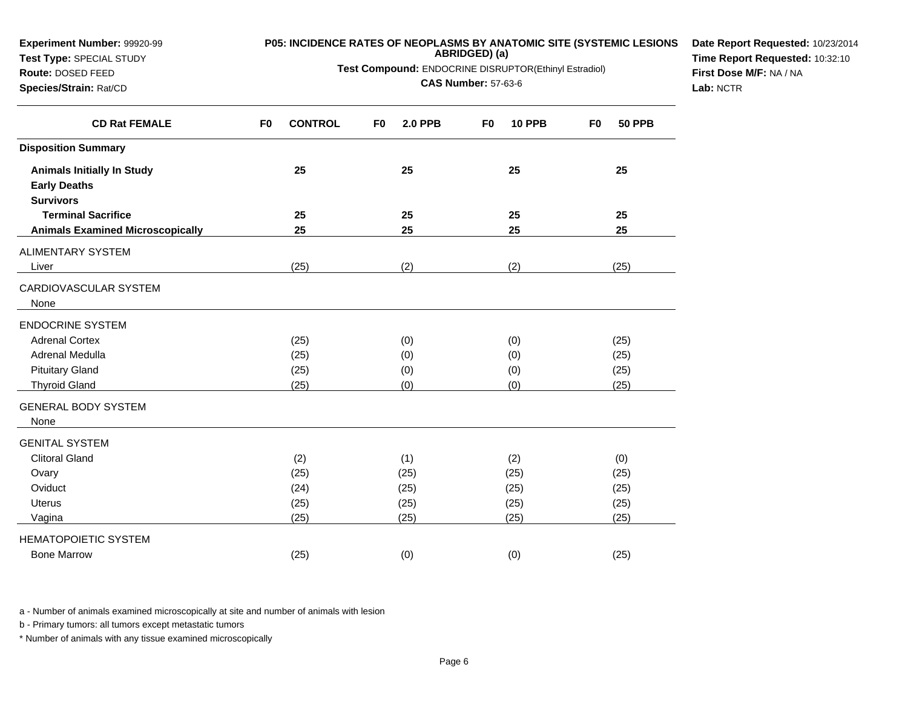| $1001 + 1001 = 0.1201$<br>Route: DOSED FEED<br>Species/Strain: Rat/CD        | Test Compound: ENDOCRINE DISRUPTOR(Ethinyl Estradiol)<br><b>CAS Number: 57-63-6</b> |                                  |                                 |                                 |  |  |  |  |
|------------------------------------------------------------------------------|-------------------------------------------------------------------------------------|----------------------------------|---------------------------------|---------------------------------|--|--|--|--|
| <b>CD Rat FEMALE</b>                                                         | <b>CONTROL</b><br>F <sub>0</sub>                                                    | F <sub>0</sub><br><b>2.0 PPB</b> | <b>10 PPB</b><br>F <sub>0</sub> | F <sub>0</sub><br><b>50 PPB</b> |  |  |  |  |
| <b>Disposition Summary</b>                                                   |                                                                                     |                                  |                                 |                                 |  |  |  |  |
| <b>Animals Initially In Study</b><br><b>Early Deaths</b><br><b>Survivors</b> | 25                                                                                  | 25                               | 25                              | 25                              |  |  |  |  |
| <b>Terminal Sacrifice</b>                                                    | 25                                                                                  | 25                               | 25                              | 25                              |  |  |  |  |
| <b>Animals Examined Microscopically</b>                                      | 25                                                                                  | 25                               | 25                              | 25                              |  |  |  |  |
| ALIMENTARY SYSTEM<br>Liver                                                   | (25)                                                                                | (2)                              | (2)                             | (25)                            |  |  |  |  |
| CARDIOVASCULAR SYSTEM<br>None                                                |                                                                                     |                                  |                                 |                                 |  |  |  |  |
| <b>ENDOCRINE SYSTEM</b>                                                      |                                                                                     |                                  |                                 |                                 |  |  |  |  |
| <b>Adrenal Cortex</b>                                                        | (25)                                                                                | (0)                              | (0)                             | (25)                            |  |  |  |  |
| Adrenal Medulla                                                              | (25)                                                                                | (0)                              | (0)                             | (25)                            |  |  |  |  |
| <b>Pituitary Gland</b>                                                       | (25)                                                                                | (0)                              | (0)                             | (25)                            |  |  |  |  |
| <b>Thyroid Gland</b>                                                         | (25)                                                                                | (0)                              | (0)                             | (25)                            |  |  |  |  |
| <b>GENERAL BODY SYSTEM</b><br>None                                           |                                                                                     |                                  |                                 |                                 |  |  |  |  |
| <b>GENITAL SYSTEM</b>                                                        |                                                                                     |                                  |                                 |                                 |  |  |  |  |
| <b>Clitoral Gland</b>                                                        | (2)                                                                                 | (1)                              | (2)                             | (0)                             |  |  |  |  |
| Ovary                                                                        | (25)                                                                                | (25)                             | (25)                            | (25)                            |  |  |  |  |
| Oviduct                                                                      | (24)                                                                                | (25)                             | (25)                            | (25)                            |  |  |  |  |
| <b>Uterus</b>                                                                | (25)                                                                                | (25)                             | (25)                            | (25)                            |  |  |  |  |
| Vagina                                                                       | (25)                                                                                | (25)                             | (25)                            | (25)                            |  |  |  |  |
| <b>HEMATOPOIETIC SYSTEM</b>                                                  |                                                                                     |                                  |                                 |                                 |  |  |  |  |
| <b>Bone Marrow</b>                                                           | (25)                                                                                | (0)                              | (0)                             | (25)                            |  |  |  |  |

b - Primary tumors: all tumors except metastatic tumors

**Experiment Number:** 99920-99**Test Type:** SPECIAL STUDY

\* Number of animals with any tissue examined microscopically

**P05: INCIDENCE RATES OF NEOPLASMS BY ANATOMIC SITE (SYSTEMIC LESIONSABRIDGED) (a)**

**Date Report Requested:** 10/23/2014**Time Report Requested:** 10:32:10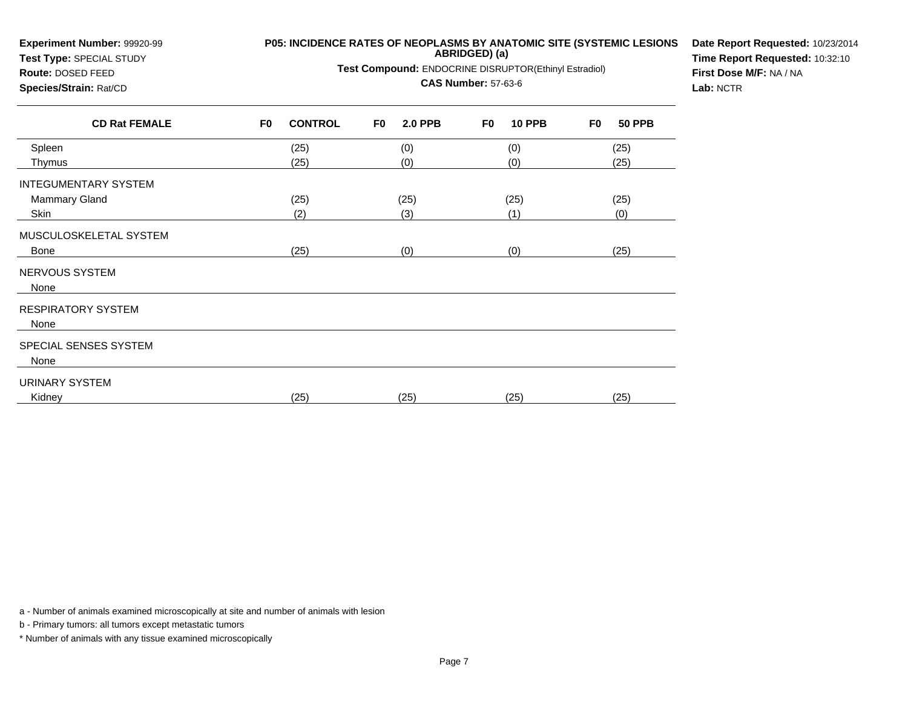| Experiment Number: 99920-99<br>Test Type: SPECIAL STUDY |                | P05: INCIDENCE RATES OF NEOPLASMS BY ANATOMIC SITE (SYSTEMIC LESIONS | Date Report Requested: 10/23/2014<br>Time Report Requested: 10:32:10 |                |    |               |    |               |  |
|---------------------------------------------------------|----------------|----------------------------------------------------------------------|----------------------------------------------------------------------|----------------|----|---------------|----|---------------|--|
| Route: DOSED FEED                                       |                | Test Compound: ENDOCRINE DISRUPTOR(Ethinyl Estradiol)                | First Dose M/F: NA / NA                                              |                |    |               |    |               |  |
| Species/Strain: Rat/CD                                  |                |                                                                      | Lab: NCTR                                                            |                |    |               |    |               |  |
| <b>CD Rat FEMALE</b>                                    | F <sub>0</sub> | <b>CONTROL</b>                                                       | F <sub>0</sub>                                                       | <b>2.0 PPB</b> | F0 | <b>10 PPB</b> | F0 | <b>50 PPB</b> |  |
| Spleen                                                  |                | (25)                                                                 |                                                                      | (0)            |    | (0)           |    | (25)          |  |
| Thymus<br><b>INTEGUMENTARY SYSTEM</b>                   |                | (25)                                                                 |                                                                      | (0)            |    | (0)           |    | (25)          |  |
| <b>Mammary Gland</b>                                    |                | (25)                                                                 |                                                                      | (25)           |    | (25)          |    | (25)          |  |
| Skin                                                    |                | (2)                                                                  |                                                                      | (3)            |    | (1)           |    | (0)           |  |
| MUSCULOSKELETAL SYSTEM                                  |                |                                                                      |                                                                      |                |    |               |    |               |  |
| Bone                                                    |                | (25)                                                                 |                                                                      | (0)            |    | (0)           |    | (25)          |  |
| NERVOUS SYSTEM<br>None                                  |                |                                                                      |                                                                      |                |    |               |    |               |  |
| <b>RESPIRATORY SYSTEM</b><br>None                       |                |                                                                      |                                                                      |                |    |               |    |               |  |
| SPECIAL SENSES SYSTEM<br>None                           |                |                                                                      |                                                                      |                |    |               |    |               |  |
| <b>URINARY SYSTEM</b><br>Kidney                         |                | (25)                                                                 |                                                                      | (25)           |    | (25)          |    | (25)          |  |

b - Primary tumors: all tumors except metastatic tumors